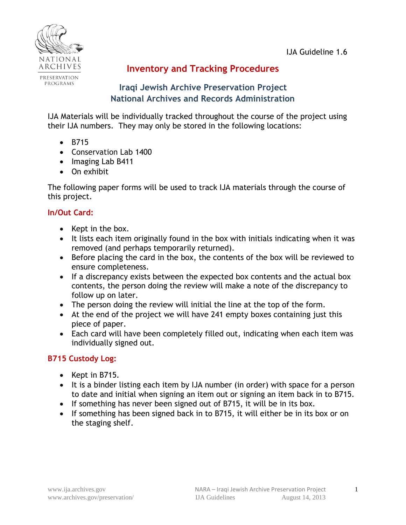

# **Inventory and Tracking Procedures**

# **Iraqi Jewish Archive Preservation Project National Archives and Records Administration**

IJA Materials will be individually tracked throughout the course of the project using their IJA numbers. They may only be stored in the following locations:

- B715
- Conservation Lab 1400
- Imaging Lab B411
- On exhibit

The following paper forms will be used to track IJA materials through the course of this project.

# **In/Out Card:**

- $\bullet$  Kept in the box.
- It lists each item originally found in the box with initials indicating when it was removed (and perhaps temporarily returned).
- Before placing the card in the box, the contents of the box will be reviewed to ensure completeness.
- If a discrepancy exists between the expected box contents and the actual box contents, the person doing the review will make a note of the discrepancy to follow up on later.
- The person doing the review will initial the line at the top of the form.
- At the end of the project we will have 241 empty boxes containing just this piece of paper.
- Each card will have been completely filled out, indicating when each item was individually signed out.

# **B715 Custody Log:**

- $\bullet$  Kept in B715.
- It is a binder listing each item by IJA number (in order) with space for a person to date and initial when signing an item out or signing an item back in to B715.
- If something has never been signed out of B715, it will be in its box.
- If something has been signed back in to B715, it will either be in its box or on the staging shelf.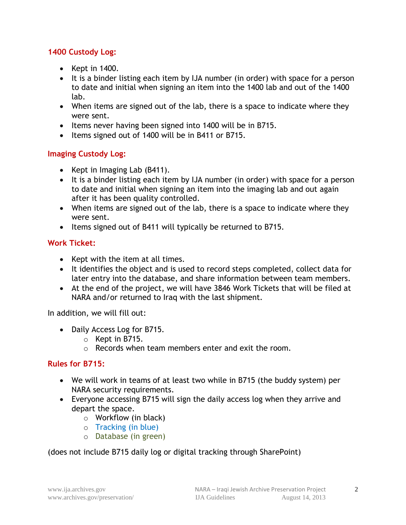#### **1400 Custody Log:**

- $\bullet$  Kept in 1400.
- It is a binder listing each item by IJA number (in order) with space for a person to date and initial when signing an item into the 1400 lab and out of the 1400 lab.
- When items are signed out of the lab, there is a space to indicate where they were sent.
- Items never having been signed into 1400 will be in B715.
- Items signed out of 1400 will be in B411 or B715.

#### **Imaging Custody Log:**

- Kept in Imaging Lab (B411).
- It is a binder listing each item by IJA number (in order) with space for a person to date and initial when signing an item into the imaging lab and out again after it has been quality controlled.
- When items are signed out of the lab, there is a space to indicate where they were sent.
- Items signed out of B411 will typically be returned to B715.

#### **Work Ticket:**

- Kept with the item at all times.
- It identifies the object and is used to record steps completed, collect data for later entry into the database, and share information between team members.
- At the end of the project, we will have 3846 Work Tickets that will be filed at NARA and/or returned to Iraq with the last shipment.

In addition, we will fill out:

- Daily Access Log for B715.
	- o Kept in B715.
	- o Records when team members enter and exit the room.

#### **Rules for B715:**

- We will work in teams of at least two while in B715 (the buddy system) per NARA security requirements.
- Everyone accessing B715 will sign the daily access log when they arrive and depart the space.
	- o Workflow (in black)
	- o Tracking (in blue)
	- o Database (in green)

(does not include B715 daily log or digital tracking through SharePoint)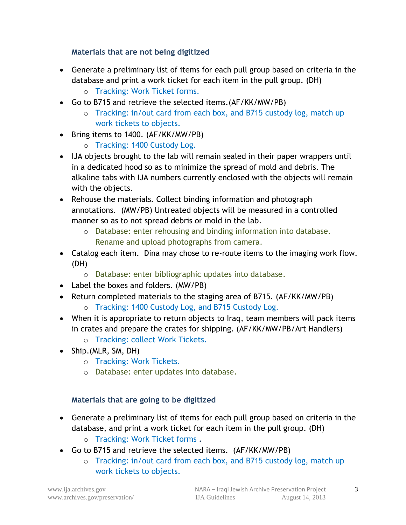# **Materials that are not being digitized**

- Generate a preliminary list of items for each pull group based on criteria in the database and print a work ticket for each item in the pull group. (DH)
	- o Tracking: Work Ticket forms.
- Go to B715 and retrieve the selected items.(AF/KK/MW/PB)
	- o Tracking: in/out card from each box, and B715 custody log, match up work tickets to objects.
- Bring items to 1400. (AF/KK/MW/PB)
	- o Tracking: 1400 Custody Log.
- IJA objects brought to the lab will remain sealed in their paper wrappers until in a dedicated hood so as to minimize the spread of mold and debris. The alkaline tabs with IJA numbers currently enclosed with the objects will remain with the objects.
- Rehouse the materials. Collect binding information and photograph annotations. (MW/PB) Untreated objects will be measured in a controlled manner so as to not spread debris or mold in the lab.
	- o Database: enter rehousing and binding information into database. Rename and upload photographs from camera.
- Catalog each item. Dina may chose to re-route items to the imaging work flow. (DH)
	- o Database: enter bibliographic updates into database.
- Label the boxes and folders. (MW/PB)
- Return completed materials to the staging area of B715. (AF/KK/MW/PB)
	- o Tracking: 1400 Custody Log, and B715 Custody Log.
- When it is appropriate to return objects to Iraq, team members will pack items in crates and prepare the crates for shipping. (AF/KK/MW/PB/Art Handlers)
	- o Tracking: collect Work Tickets.
- Ship.(MLR, SM, DH)
	- o Tracking: Work Tickets.
	- o Database: enter updates into database.

#### **Materials that are going to be digitized**

- Generate a preliminary list of items for each pull group based on criteria in the database, and print a work ticket for each item in the pull group. (DH)
	- o Tracking: Work Ticket forms **.**
- Go to B715 and retrieve the selected items. (AF/KK/MW/PB)
	- o Tracking: in/out card from each box, and B715 custody log, match up work tickets to objects.